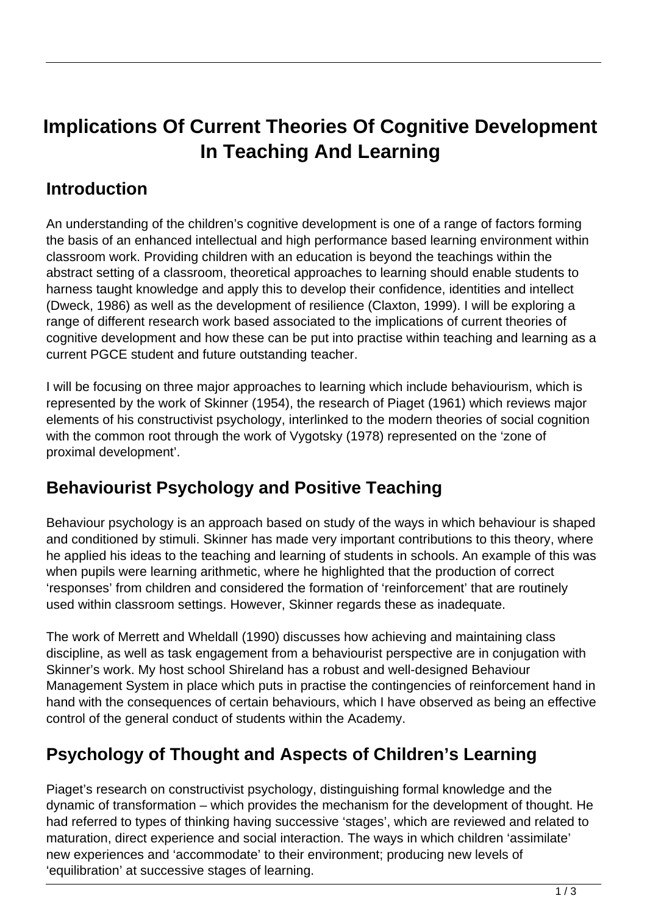# **Implications Of Current Theories Of Cognitive Development In Teaching And Learning**

#### **Introduction**

An understanding of the children's cognitive development is one of a range of factors forming the basis of an enhanced intellectual and high performance based learning environment within classroom work. Providing children with an education is beyond the teachings within the abstract setting of a classroom, theoretical approaches to learning should enable students to harness taught knowledge and apply this to develop their confidence, identities and intellect (Dweck, 1986) as well as the development of resilience (Claxton, 1999). I will be exploring a range of different research work based associated to the implications of current theories of cognitive development and how these can be put into practise within teaching and learning as a current PGCE student and future outstanding teacher.

I will be focusing on three major approaches to learning which include behaviourism, which is represented by the work of Skinner (1954), the research of Piaget (1961) which reviews major elements of his constructivist psychology, interlinked to the modern theories of social cognition with the common root through the work of Vygotsky (1978) represented on the 'zone of proximal development'.

#### **Behaviourist Psychology and Positive Teaching**

Behaviour psychology is an approach based on study of the ways in which behaviour is shaped and conditioned by stimuli. Skinner has made very important contributions to this theory, where he applied his ideas to the teaching and learning of students in schools. An example of this was when pupils were learning arithmetic, where he highlighted that the production of correct 'responses' from children and considered the formation of 'reinforcement' that are routinely used within classroom settings. However, Skinner regards these as inadequate.

The work of Merrett and Wheldall (1990) discusses how achieving and maintaining class discipline, as well as task engagement from a behaviourist perspective are in conjugation with Skinner's work. My host school Shireland has a robust and well-designed Behaviour Management System in place which puts in practise the contingencies of reinforcement hand in hand with the consequences of certain behaviours, which I have observed as being an effective control of the general conduct of students within the Academy.

#### **Psychology of Thought and Aspects of Children's Learning**

Piaget's research on constructivist psychology, distinguishing formal knowledge and the dynamic of transformation – which provides the mechanism for the development of thought. He had referred to types of thinking having successive 'stages', which are reviewed and related to maturation, direct experience and social interaction. The ways in which children 'assimilate' new experiences and 'accommodate' to their environment; producing new levels of 'equilibration' at successive stages of learning.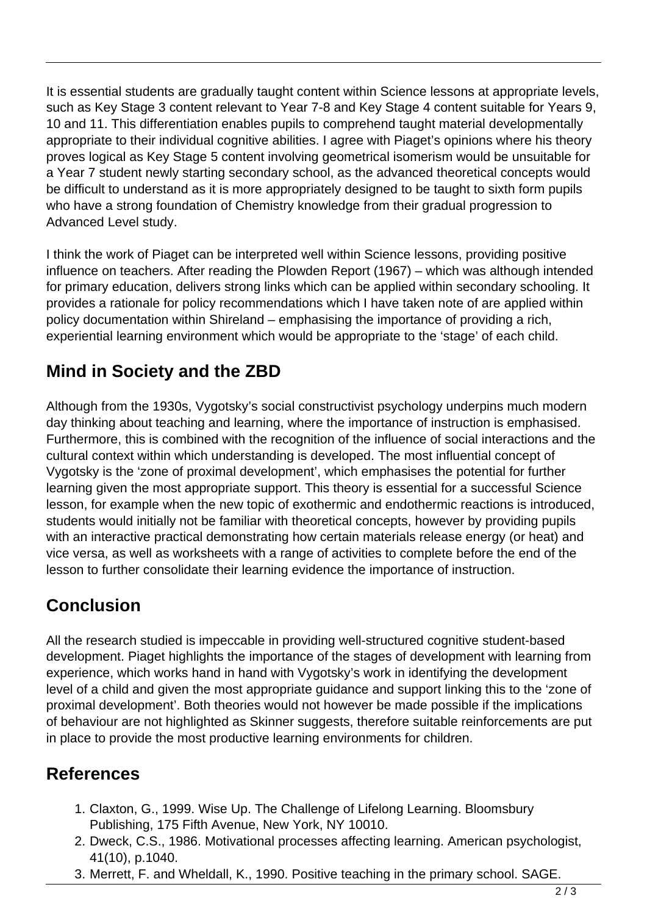It is essential students are gradually taught content within Science lessons at appropriate levels, such as Key Stage 3 content relevant to Year 7-8 and Key Stage 4 content suitable for Years 9, 10 and 11. This differentiation enables pupils to comprehend taught material developmentally appropriate to their individual cognitive abilities. I agree with Piaget's opinions where his theory proves logical as Key Stage 5 content involving geometrical isomerism would be unsuitable for a Year 7 student newly starting secondary school, as the advanced theoretical concepts would be difficult to understand as it is more appropriately designed to be taught to sixth form pupils who have a strong foundation of Chemistry knowledge from their gradual progression to Advanced Level study.

I think the work of Piaget can be interpreted well within Science lessons, providing positive influence on teachers. After reading the Plowden Report (1967) – which was although intended for primary education, delivers strong links which can be applied within secondary schooling. It provides a rationale for policy recommendations which I have taken note of are applied within policy documentation within Shireland – emphasising the importance of providing a rich, experiential learning environment which would be appropriate to the 'stage' of each child.

### **Mind in Society and the ZBD**

Although from the 1930s, Vygotsky's social constructivist psychology underpins much modern day thinking about teaching and learning, where the importance of instruction is emphasised. Furthermore, this is combined with the recognition of the influence of social interactions and the cultural context within which understanding is developed. The most influential concept of Vygotsky is the 'zone of proximal development', which emphasises the potential for further learning given the most appropriate support. This theory is essential for a successful Science lesson, for example when the new topic of exothermic and endothermic reactions is introduced, students would initially not be familiar with theoretical concepts, however by providing pupils with an interactive practical demonstrating how certain materials release energy (or heat) and vice versa, as well as worksheets with a range of activities to complete before the end of the lesson to further consolidate their learning evidence the importance of instruction.

## **Conclusion**

All the research studied is impeccable in providing well-structured cognitive student-based development. Piaget highlights the importance of the stages of development with learning from experience, which works hand in hand with Vygotsky's work in identifying the development level of a child and given the most appropriate guidance and support linking this to the 'zone of proximal development'. Both theories would not however be made possible if the implications of behaviour are not highlighted as Skinner suggests, therefore suitable reinforcements are put in place to provide the most productive learning environments for children.

#### **References**

- 1. Claxton, G., 1999. Wise Up. The Challenge of Lifelong Learning. Bloomsbury Publishing, 175 Fifth Avenue, New York, NY 10010.
- 2. Dweck, C.S., 1986. Motivational processes affecting learning. American psychologist, 41(10), p.1040.
- 3. Merrett, F. and Wheldall, K., 1990. Positive teaching in the primary school. SAGE.